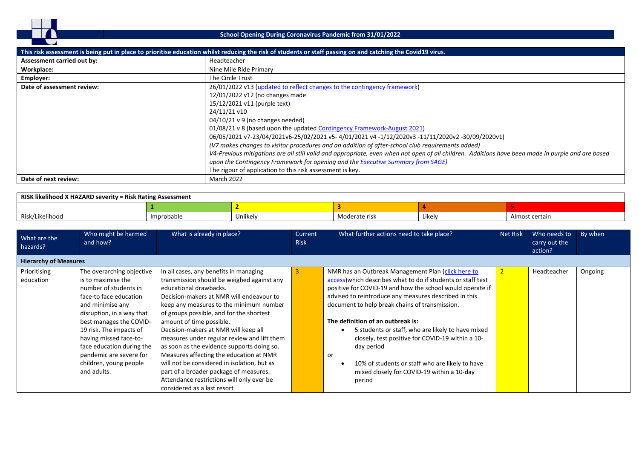

## **School Opening During Coronavirus Pandemic from 31/01/2022**

|                            | This risk assessment is being put in place to prioritise education whilst reducing the risk of students or staff passing on and catching the Covid19 virus. |
|----------------------------|-------------------------------------------------------------------------------------------------------------------------------------------------------------|
| Assessment carried out by: | Headteacher                                                                                                                                                 |
| Workplace:                 | Nine Mile Ride Primary                                                                                                                                      |
| Employer:                  | The Circle Trust                                                                                                                                            |
| Date of assessment review: | 26/01/2022 v13 (updated to reflect changes to the contingency framework)                                                                                    |
|                            | 12/01/2022 v12 (no changes made                                                                                                                             |
|                            | 15/12/2021 v11 (purple text)                                                                                                                                |
|                            | 24/11/21 v10                                                                                                                                                |
|                            | 04/10/21 v 9 (no changes needed)                                                                                                                            |
|                            | 01/08/21 v 8 (based upon the updated Contingency Framework-August 2021)                                                                                     |
|                            | 06/05/2021 v7-23/04/2021v6-25/02/2021 v5-4/01/2021 v4-1/12/2020v3-11/11/2020v2-30/09/2020v1)                                                                |
|                            | (V7 makes changes to visitor procedures and an addition of after-school club requirements added)                                                            |
|                            | V4-Previous mitigations are all still valid and appropriate, even when not open of all children. Additions have been made in purple and are based           |
|                            | upon the Contingency Framework for opening and the Executive Summary from SAGE)                                                                             |
|                            | The rigour of application to this risk assessment is key.                                                                                                   |
| Date of next review:       | March 2022                                                                                                                                                  |

| RISK likelihood X HAZARD severity = Risk Rating Assessment |            |          |               |        |                |  |  |  |
|------------------------------------------------------------|------------|----------|---------------|--------|----------------|--|--|--|
|                                                            |            |          |               |        |                |  |  |  |
| Risk/Likelihood                                            | Improbable | Unlikely | Moderate risk | Likely | Almost certain |  |  |  |

| What are the<br>hazards?     | Who might be harmed<br>and how?                                                                                                                                                                                                                                                                                                      | What is already in place?                                                                                                                                                                                                                                                                                                                                                                                                                                                                                                                                                                                                          | Current<br><b>Risk</b> | What further actions need to take place?                                                                                                                                                                                                                                                                                                                                                                                                                                                                                                                                | <b>Net Risk</b> | Who needs to<br>carry out the<br>action? | By when |
|------------------------------|--------------------------------------------------------------------------------------------------------------------------------------------------------------------------------------------------------------------------------------------------------------------------------------------------------------------------------------|------------------------------------------------------------------------------------------------------------------------------------------------------------------------------------------------------------------------------------------------------------------------------------------------------------------------------------------------------------------------------------------------------------------------------------------------------------------------------------------------------------------------------------------------------------------------------------------------------------------------------------|------------------------|-------------------------------------------------------------------------------------------------------------------------------------------------------------------------------------------------------------------------------------------------------------------------------------------------------------------------------------------------------------------------------------------------------------------------------------------------------------------------------------------------------------------------------------------------------------------------|-----------------|------------------------------------------|---------|
| <b>Hierarchy of Measures</b> |                                                                                                                                                                                                                                                                                                                                      |                                                                                                                                                                                                                                                                                                                                                                                                                                                                                                                                                                                                                                    |                        |                                                                                                                                                                                                                                                                                                                                                                                                                                                                                                                                                                         |                 |                                          |         |
| Prioritising<br>education    | The overarching objective<br>is to maximise the<br>number of students in<br>face-to face education<br>and minimise any<br>disruption, in a way that<br>best manages the COVID-<br>19 risk. The impacts of<br>having missed face-to-<br>face education during the<br>pandemic are severe for<br>children, young people<br>and adults. | In all cases, any benefits in managing<br>transmission should be weighed against any<br>educational drawbacks.<br>Decision-makers at NMR will endeavour to<br>keep any measures to the minimum number<br>of groups possible, and for the shortest<br>amount of time possible.<br>Decision-makers at NMR will keep all<br>measures under regular review and lift them<br>as soon as the evidence supports doing so.<br>Measures affecting the education at NMR<br>will not be considered in isolation, but as<br>part of a broader package of measures.<br>Attendance restrictions will only ever be<br>considered as a last resort |                        | NMR has an Outbreak Management Plan (click here to<br>access) which describes what to do if students or staff test<br>positive for COVID-19 and how the school would operate if<br>advised to reintroduce any measures described in this<br>document to help break chains of transmission.<br>The definition of an outbreak is:<br>5 students or staff, who are likely to have mixed<br>closely, test positive for COVID-19 within a 10-<br>day period<br>or<br>10% of students or staff who are likely to have<br>mixed closely for COVID-19 within a 10-day<br>period |                 | Headteacher                              | Ongoing |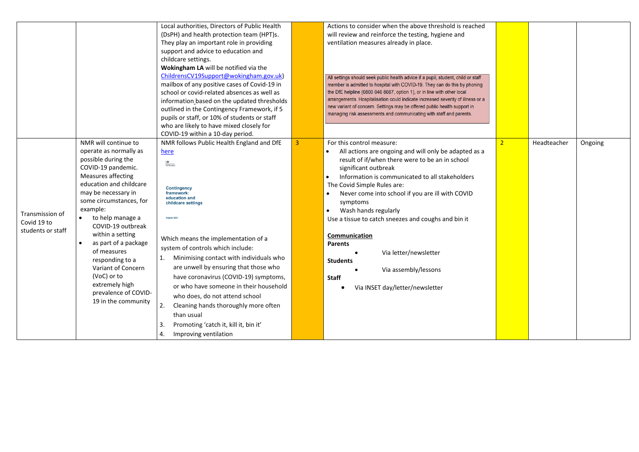|                   |                         | Local authorities, Directors of Public Health |   | Actions to consider when the above threshold is reached                                                                                         |             |         |
|-------------------|-------------------------|-----------------------------------------------|---|-------------------------------------------------------------------------------------------------------------------------------------------------|-------------|---------|
|                   |                         | (DsPH) and health protection team (HPT)s.     |   | will review and reinforce the testing, hygiene and                                                                                              |             |         |
|                   |                         | They play an important role in providing      |   | ventilation measures already in place.                                                                                                          |             |         |
|                   |                         | support and advice to education and           |   |                                                                                                                                                 |             |         |
|                   |                         | childcare settings.                           |   |                                                                                                                                                 |             |         |
|                   |                         | Wokingham LA will be notified via the         |   |                                                                                                                                                 |             |         |
|                   |                         | ChildrensCV19Support@wokingham.gov.uk)        |   | All settings should seek public health advice if a pupil, student, child or staff                                                               |             |         |
|                   |                         | mailbox of any positive cases of Covid-19 in  |   | member is admitted to hospital with COVID-19. They can do this by phoning                                                                       |             |         |
|                   |                         | school or covid-related absences as well as   |   | the DfE helpline (0800 046 8687, option 1), or in line with other local                                                                         |             |         |
|                   |                         | information based on the updated thresholds   |   | arrangements. Hospitalisation could indicate increased severity of illness or a                                                                 |             |         |
|                   |                         | outlined in the Contingency Framework, if 5   |   | new variant of concern. Settings may be offered public health support in<br>managing risk assessments and communicating with staff and parents. |             |         |
|                   |                         | pupils or staff, or 10% of students or staff  |   |                                                                                                                                                 |             |         |
|                   |                         | who are likely to have mixed closely for      |   |                                                                                                                                                 |             |         |
|                   |                         | COVID-19 within a 10-day period.              |   |                                                                                                                                                 |             |         |
|                   | NMR will continue to    | NMR follows Public Health England and DfE     | 3 | For this control measure:                                                                                                                       | Headteacher | Ongoing |
|                   | operate as normally as  | here                                          |   | All actions are ongoing and will only be adapted as a                                                                                           |             |         |
|                   | possible during the     | 器<br>Department<br>for Education              |   | result of if/when there were to be an in school                                                                                                 |             |         |
|                   | COVID-19 pandemic.      |                                               |   | significant outbreak                                                                                                                            |             |         |
|                   | Measures affecting      |                                               |   | Information is communicated to all stakeholders<br>$\bullet$                                                                                    |             |         |
|                   | education and childcare | <b>Contingency</b>                            |   | The Covid Simple Rules are:                                                                                                                     |             |         |
|                   | may be necessary in     | framework:<br>education and                   |   | Never come into school if you are ill with COVID                                                                                                |             |         |
|                   | some circumstances, for | childcare settings                            |   | symptoms                                                                                                                                        |             |         |
| Transmission of   | example:                |                                               |   | Wash hands regularly<br>$\bullet$                                                                                                               |             |         |
| Covid 19 to       | to help manage a        | August 202                                    |   | Use a tissue to catch sneezes and coughs and bin it                                                                                             |             |         |
| students or staff | COVID-19 outbreak       |                                               |   |                                                                                                                                                 |             |         |
|                   | within a setting        | Which means the implementation of a           |   | Communication                                                                                                                                   |             |         |
|                   | as part of a package    | system of controls which include:             |   | <b>Parents</b>                                                                                                                                  |             |         |
|                   | of measures             |                                               |   | Via letter/newsletter                                                                                                                           |             |         |
|                   | responding to a         | Minimising contact with individuals who<br>1. |   | <b>Students</b>                                                                                                                                 |             |         |
|                   | Variant of Concern      | are unwell by ensuring that those who         |   | Via assembly/lessons                                                                                                                            |             |         |
|                   | (VoC) or to             | have coronavirus (COVID-19) symptoms,         |   | <b>Staff</b>                                                                                                                                    |             |         |
|                   | extremely high          | or who have someone in their household        |   | Via INSET day/letter/newsletter                                                                                                                 |             |         |
|                   | prevalence of COVID-    | who does, do not attend school                |   |                                                                                                                                                 |             |         |
|                   | 19 in the community     | 2.<br>Cleaning hands thoroughly more often    |   |                                                                                                                                                 |             |         |
|                   |                         | than usual                                    |   |                                                                                                                                                 |             |         |
|                   |                         | Promoting 'catch it, kill it, bin it'<br>3.   |   |                                                                                                                                                 |             |         |
|                   |                         |                                               |   |                                                                                                                                                 |             |         |
|                   |                         | Improving ventilation<br>4.                   |   |                                                                                                                                                 |             |         |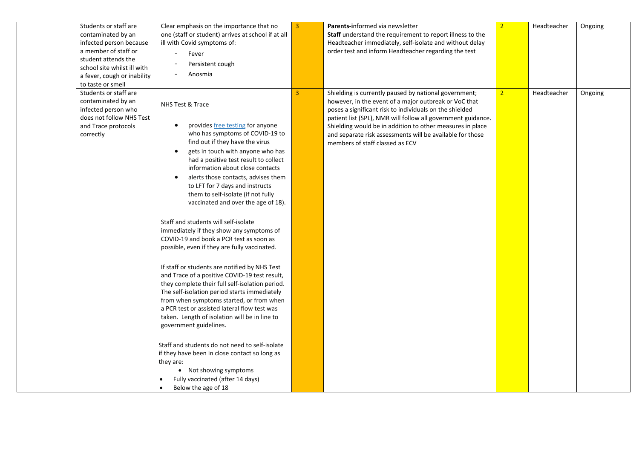| to taste or smell | Students or staff are<br>contaminated by an<br>infected person because<br>a member of staff or<br>student attends the<br>school site whilst ill with<br>a fever, cough or inability | Clear emphasis on the importance that no<br>one (staff or student) arrives at school if at all<br>ill with Covid symptoms of:<br>Fever<br>$\overline{\phantom{a}}$<br>Persistent cough<br>Anosmia                                                                                                                                                                                                                                                                                                                                                                                                                                                                                                                                                                                                                                                                                                                                                                                                                                                                                                                                                                                                                              | $\overline{3}$ | Parents-informed via newsletter<br>Staff understand the requirement to report illness to the<br>Headteacher immediately, self-isolate and without delay<br>order test and inform Headteacher regarding the test                                                                                                                                                                                        | $\overline{2}$ | Headteacher | Ongoing |
|-------------------|-------------------------------------------------------------------------------------------------------------------------------------------------------------------------------------|--------------------------------------------------------------------------------------------------------------------------------------------------------------------------------------------------------------------------------------------------------------------------------------------------------------------------------------------------------------------------------------------------------------------------------------------------------------------------------------------------------------------------------------------------------------------------------------------------------------------------------------------------------------------------------------------------------------------------------------------------------------------------------------------------------------------------------------------------------------------------------------------------------------------------------------------------------------------------------------------------------------------------------------------------------------------------------------------------------------------------------------------------------------------------------------------------------------------------------|----------------|--------------------------------------------------------------------------------------------------------------------------------------------------------------------------------------------------------------------------------------------------------------------------------------------------------------------------------------------------------------------------------------------------------|----------------|-------------|---------|
| correctly         | Students or staff are<br>contaminated by an<br>infected person who<br>does not follow NHS Test<br>and Trace protocols                                                               | NHS Test & Trace<br>provides <i>free testing</i> for anyone<br>$\bullet$<br>who has symptoms of COVID-19 to<br>find out if they have the virus<br>gets in touch with anyone who has<br>$\bullet$<br>had a positive test result to collect<br>information about close contacts<br>alerts those contacts, advises them<br>to LFT for 7 days and instructs<br>them to self-isolate (if not fully<br>vaccinated and over the age of 18).<br>Staff and students will self-isolate<br>immediately if they show any symptoms of<br>COVID-19 and book a PCR test as soon as<br>possible, even if they are fully vaccinated.<br>If staff or students are notified by NHS Test<br>and Trace of a positive COVID-19 test result,<br>they complete their full self-isolation period.<br>The self-isolation period starts immediately<br>from when symptoms started, or from when<br>a PCR test or assisted lateral flow test was<br>taken. Length of isolation will be in line to<br>government guidelines.<br>Staff and students do not need to self-isolate<br>if they have been in close contact so long as<br>they are:<br>• Not showing symptoms<br>Fully vaccinated (after 14 days)<br>$\bullet$<br>Below the age of 18<br>$\bullet$ | $\overline{3}$ | Shielding is currently paused by national government;<br>however, in the event of a major outbreak or VoC that<br>poses a significant risk to individuals on the shielded<br>patient list (SPL), NMR will follow all government guidance.<br>Shielding would be in addition to other measures in place<br>and separate risk assessments will be available for those<br>members of staff classed as ECV | $\overline{2}$ | Headteacher | Ongoing |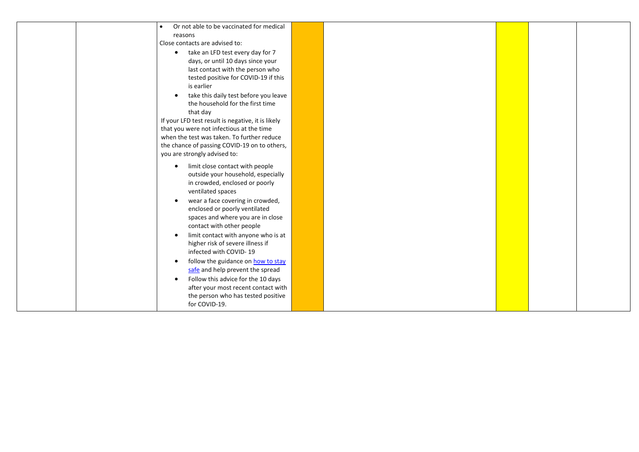|                                                   | Or not able to be vaccinated for medical |  |  |
|---------------------------------------------------|------------------------------------------|--|--|
| reasons                                           |                                          |  |  |
| Close contacts are advised to:                    |                                          |  |  |
| $\bullet$                                         | take an LFD test every day for 7         |  |  |
|                                                   | days, or until 10 days since your        |  |  |
|                                                   | last contact with the person who         |  |  |
|                                                   | tested positive for COVID-19 if this     |  |  |
| is earlier                                        |                                          |  |  |
| $\bullet$                                         | take this daily test before you leave    |  |  |
|                                                   | the household for the first time         |  |  |
| that day                                          |                                          |  |  |
| If your LFD test result is negative, it is likely |                                          |  |  |
| that you were not infectious at the time          |                                          |  |  |
| when the test was taken. To further reduce        |                                          |  |  |
| the chance of passing COVID-19 on to others,      |                                          |  |  |
| you are strongly advised to:                      |                                          |  |  |
| $\bullet$                                         | limit close contact with people          |  |  |
|                                                   | outside your household, especially       |  |  |
|                                                   | in crowded, enclosed or poorly           |  |  |
| ventilated spaces                                 |                                          |  |  |
| $\bullet$                                         | wear a face covering in crowded,         |  |  |
|                                                   | enclosed or poorly ventilated            |  |  |
|                                                   | spaces and where you are in close        |  |  |
| contact with other people                         |                                          |  |  |
| $\bullet$                                         | limit contact with anyone who is at      |  |  |
|                                                   | higher risk of severe illness if         |  |  |
| infected with COVID-19                            |                                          |  |  |
| $\bullet$                                         | follow the guidance on how to stay       |  |  |
|                                                   | safe and help prevent the spread         |  |  |
| $\bullet$                                         | Follow this advice for the 10 days       |  |  |
|                                                   | after your most recent contact with      |  |  |
|                                                   | the person who has tested positive       |  |  |
| for COVID-19.                                     |                                          |  |  |
|                                                   |                                          |  |  |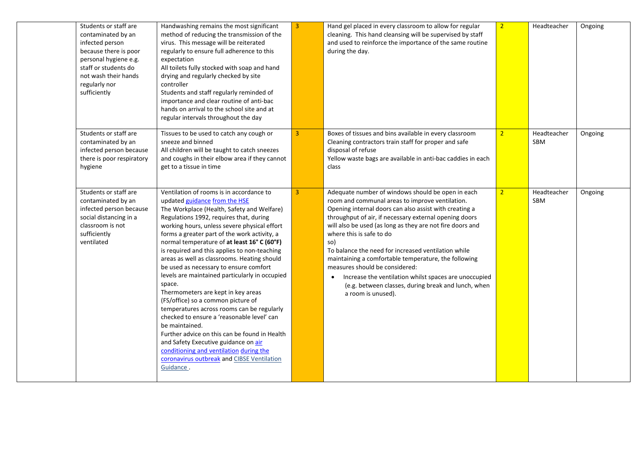| Students or staff are<br>contaminated by an<br>infected person<br>because there is poor<br>personal hygiene e.g.<br>staff or students do<br>not wash their hands<br>regularly nor<br>sufficiently | Handwashing remains the most significant<br>method of reducing the transmission of the<br>virus. This message will be reiterated<br>regularly to ensure full adherence to this<br>expectation<br>All toilets fully stocked with soap and hand<br>drying and regularly checked by site<br>controller<br>Students and staff regularly reminded of<br>importance and clear routine of anti-bac<br>hands on arrival to the school site and at<br>regular intervals throughout the day                                                                                                                                                                                                                                                                                                                                                                                                                               | $\overline{3}$ | Hand gel placed in every classroom to allow for regular<br>cleaning. This hand cleansing will be supervised by staff<br>and used to reinforce the importance of the same routine<br>during the day.                                                                                                                                                                                                                                                                                                                                                                                                             | $\overline{2}$ | Headteacher               | Ongoing |
|---------------------------------------------------------------------------------------------------------------------------------------------------------------------------------------------------|-----------------------------------------------------------------------------------------------------------------------------------------------------------------------------------------------------------------------------------------------------------------------------------------------------------------------------------------------------------------------------------------------------------------------------------------------------------------------------------------------------------------------------------------------------------------------------------------------------------------------------------------------------------------------------------------------------------------------------------------------------------------------------------------------------------------------------------------------------------------------------------------------------------------|----------------|-----------------------------------------------------------------------------------------------------------------------------------------------------------------------------------------------------------------------------------------------------------------------------------------------------------------------------------------------------------------------------------------------------------------------------------------------------------------------------------------------------------------------------------------------------------------------------------------------------------------|----------------|---------------------------|---------|
| Students or staff are<br>contaminated by an<br>infected person because<br>there is poor respiratory<br>hygiene                                                                                    | Tissues to be used to catch any cough or<br>sneeze and binned<br>All children will be taught to catch sneezes<br>and coughs in their elbow area if they cannot<br>get to a tissue in time                                                                                                                                                                                                                                                                                                                                                                                                                                                                                                                                                                                                                                                                                                                       | 3 <sup>1</sup> | Boxes of tissues and bins available in every classroom<br>Cleaning contractors train staff for proper and safe<br>disposal of refuse<br>Yellow waste bags are available in anti-bac caddies in each<br>class                                                                                                                                                                                                                                                                                                                                                                                                    | $\overline{2}$ | Headteacher<br>SBM        | Ongoing |
| Students or staff are<br>contaminated by an<br>infected person because<br>social distancing in a<br>classroom is not<br>sufficiently<br>ventilated                                                | Ventilation of rooms is in accordance to<br>updated guidance from the HSE<br>The Workplace (Health, Safety and Welfare)<br>Regulations 1992, requires that, during<br>working hours, unless severe physical effort<br>forms a greater part of the work activity, a<br>normal temperature of at least 16° C (60°F)<br>is required and this applies to non-teaching<br>areas as well as classrooms. Heating should<br>be used as necessary to ensure comfort<br>levels are maintained particularly in occupied<br>space.<br>Thermometers are kept in key areas<br>(FS/office) so a common picture of<br>temperatures across rooms can be regularly<br>checked to ensure a 'reasonable level' can<br>be maintained.<br>Further advice on this can be found in Health<br>and Safety Executive guidance on air<br>conditioning and ventilation during the<br>coronavirus outbreak and CIBSE Ventilation<br>Guidance. | 3 <sup>1</sup> | Adequate number of windows should be open in each<br>room and communal areas to improve ventilation.<br>Opening internal doors can also assist with creating a<br>throughput of air, if necessary external opening doors<br>will also be used (as long as they are not fire doors and<br>where this is safe to do<br>so)<br>To balance the need for increased ventilation while<br>maintaining a comfortable temperature, the following<br>measures should be considered:<br>Increase the ventilation whilst spaces are unoccupied<br>(e.g. between classes, during break and lunch, when<br>a room is unused). | 2 <sup>1</sup> | Headteacher<br><b>SBM</b> | Ongoing |